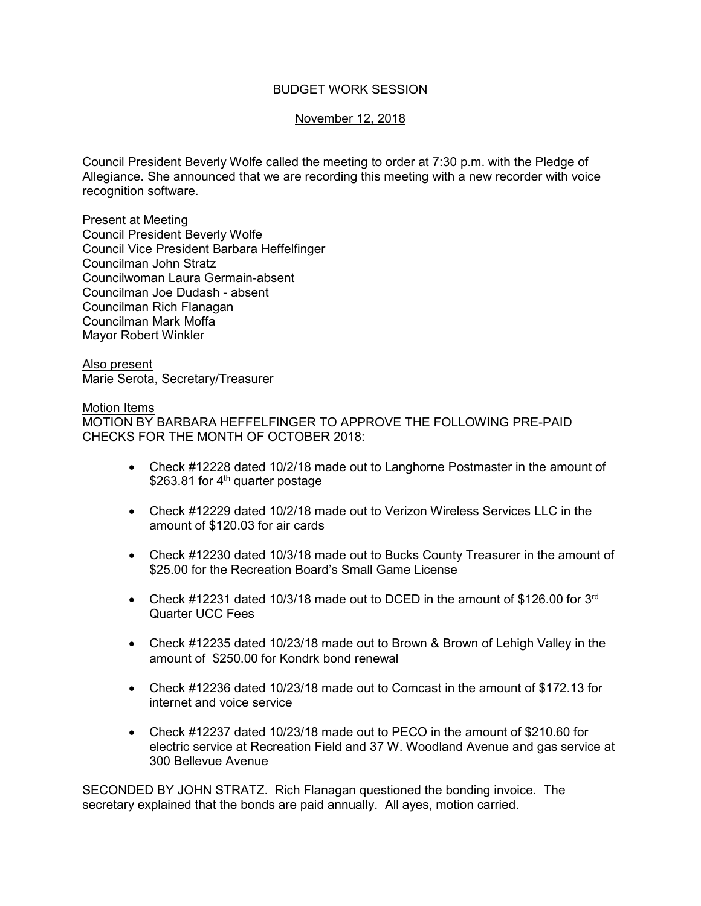# BUDGET WORK SESSION

## November 12, 2018

Council President Beverly Wolfe called the meeting to order at 7:30 p.m. with the Pledge of Allegiance. She announced that we are recording this meeting with a new recorder with voice recognition software.

### Present at Meeting

Council President Beverly Wolfe Council Vice President Barbara Heffelfinger Councilman John Stratz Councilwoman Laura Germain-absent Councilman Joe Dudash - absent Councilman Rich Flanagan Councilman Mark Moffa Mayor Robert Winkler

#### Also present

Marie Serota, Secretary/Treasurer

#### Motion Items

MOTION BY BARBARA HEFFELFINGER TO APPROVE THE FOLLOWING PRE-PAID CHECKS FOR THE MONTH OF OCTOBER 2018:

- Check #12228 dated 10/2/18 made out to Langhorne Postmaster in the amount of \$263.81 for  $4<sup>th</sup>$  quarter postage
- Check #12229 dated 10/2/18 made out to Verizon Wireless Services LLC in the amount of \$120.03 for air cards
- Check #12230 dated 10/3/18 made out to Bucks County Treasurer in the amount of \$25.00 for the Recreation Board's Small Game License
- Check #12231 dated 10/3/18 made out to DCED in the amount of \$126.00 for  $3<sup>rd</sup>$ Quarter UCC Fees
- Check #12235 dated 10/23/18 made out to Brown & Brown of Lehigh Valley in the amount of \$250.00 for Kondrk bond renewal
- Check #12236 dated 10/23/18 made out to Comcast in the amount of \$172.13 for internet and voice service
- Check #12237 dated 10/23/18 made out to PECO in the amount of \$210.60 for electric service at Recreation Field and 37 W. Woodland Avenue and gas service at 300 Bellevue Avenue

SECONDED BY JOHN STRATZ. Rich Flanagan questioned the bonding invoice. The secretary explained that the bonds are paid annually. All ayes, motion carried.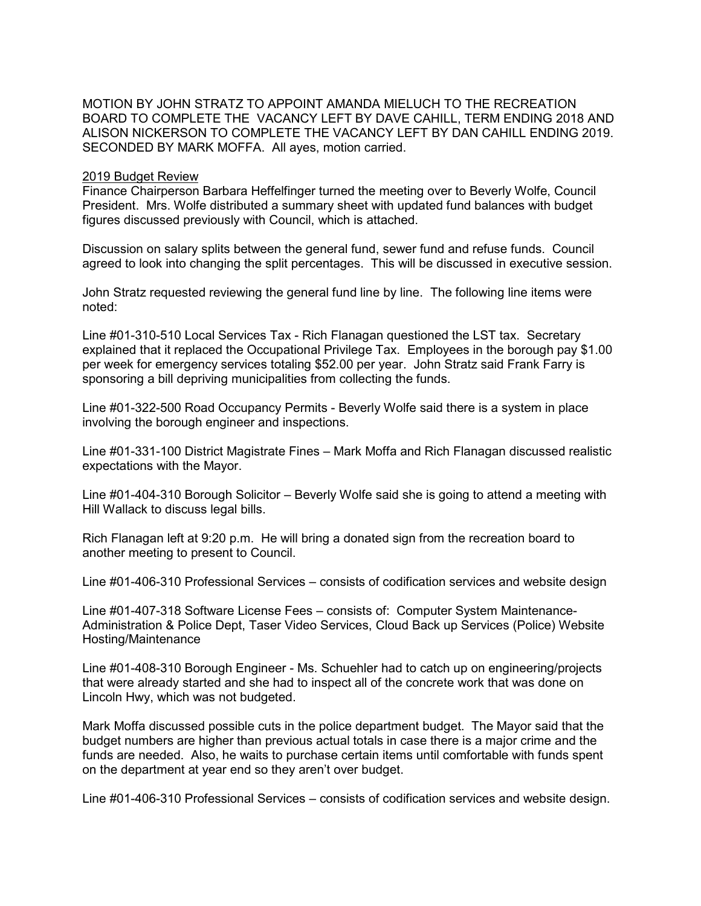MOTION BY JOHN STRATZ TO APPOINT AMANDA MIELUCH TO THE RECREATION BOARD TO COMPLETE THE VACANCY LEFT BY DAVE CAHILL, TERM ENDING 2018 AND ALISON NICKERSON TO COMPLETE THE VACANCY LEFT BY DAN CAHILL ENDING 2019. SECONDED BY MARK MOFFA. All ayes, motion carried.

### 2019 Budget Review

Finance Chairperson Barbara Heffelfinger turned the meeting over to Beverly Wolfe, Council President. Mrs. Wolfe distributed a summary sheet with updated fund balances with budget figures discussed previously with Council, which is attached.

Discussion on salary splits between the general fund, sewer fund and refuse funds. Council agreed to look into changing the split percentages. This will be discussed in executive session.

John Stratz requested reviewing the general fund line by line. The following line items were noted:

Line #01-310-510 Local Services Tax - Rich Flanagan questioned the LST tax. Secretary explained that it replaced the Occupational Privilege Tax. Employees in the borough pay \$1.00 per week for emergency services totaling \$52.00 per year. John Stratz said Frank Farry is sponsoring a bill depriving municipalities from collecting the funds.

Line #01-322-500 Road Occupancy Permits - Beverly Wolfe said there is a system in place involving the borough engineer and inspections.

Line #01-331-100 District Magistrate Fines – Mark Moffa and Rich Flanagan discussed realistic expectations with the Mayor.

Line #01-404-310 Borough Solicitor – Beverly Wolfe said she is going to attend a meeting with Hill Wallack to discuss legal bills.

Rich Flanagan left at 9:20 p.m. He will bring a donated sign from the recreation board to another meeting to present to Council.

Line #01-406-310 Professional Services – consists of codification services and website design

Line #01-407-318 Software License Fees – consists of: Computer System Maintenance-Administration & Police Dept, Taser Video Services, Cloud Back up Services (Police) Website Hosting/Maintenance

Line #01-408-310 Borough Engineer - Ms. Schuehler had to catch up on engineering/projects that were already started and she had to inspect all of the concrete work that was done on Lincoln Hwy, which was not budgeted.

Mark Moffa discussed possible cuts in the police department budget. The Mayor said that the budget numbers are higher than previous actual totals in case there is a major crime and the funds are needed. Also, he waits to purchase certain items until comfortable with funds spent on the department at year end so they aren't over budget.

Line #01-406-310 Professional Services – consists of codification services and website design.